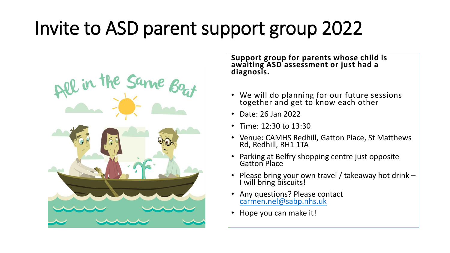## Invite to ASD parent support group 2022



**Support group for parents whose child is awaiting ASD assessment or just had a diagnosis.** 

- We will do planning for our future sessions together and get to know each other
- Date: 26 Jan 2022
- Time: 12:30 to 13:30
- Venue: CAMHS Redhill, Gatton Place, St Matthews Rd, Redhill, RH1 1TA
- Parking at Belfry shopping centre just opposite Gatton Place
- Please bring your own travel / takeaway hot drink I will bring biscuits!
- Any questions? Please contact [carmen.nel@sabp.nhs.uk](mailto:carmen.nel@sabp.nhs.uk)
- Hope you can make it!